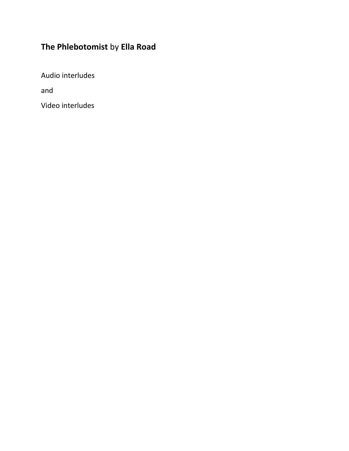# **The Phlebotomist** by **Ella Road**

Audio interludes

and

Video interludes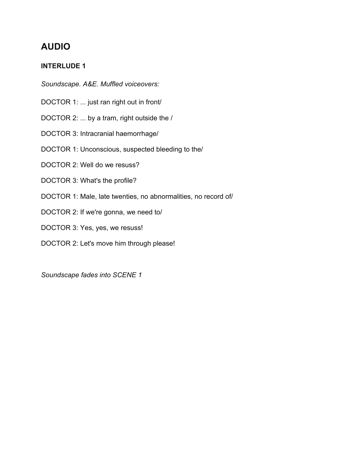### **INTERLUDE 1**

*Soundscape. A&E. Muffled voiceovers:*

- DOCTOR 1: ... just ran right out in front/
- DOCTOR 2: ... by a tram, right outside the /
- DOCTOR 3: Intracranial haemorrhage/
- DOCTOR 1: Unconscious, suspected bleeding to the/
- DOCTOR 2: Well do we resuss?
- DOCTOR 3: What's the profile?
- DOCTOR 1: Male, late twenties, no abnormalities, no record of/
- DOCTOR 2: If we're gonna, we need to/
- DOCTOR 3: Yes, yes, we resuss!
- DOCTOR 2: Let's move him through please!

*Soundscape fades into SCENE 1*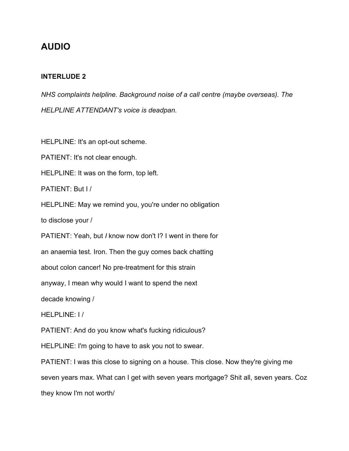#### **INTERLUDE 2**

*NHS complaints helpline. Background noise of a call centre (maybe overseas). The HELPLINE ATTENDANT's voice is deadpan.*

HELPLINE: It's an opt-out scheme.

PATIENT: It's not clear enough.

HELPLINE: It was on the form, top left.

PATIENT: But I /

HELPLINE: May we remind you, you're under no obligation

to disclose your /

PATIENT: Yeah, but *I* know now don't I? I went in there for

an anaemia test. Iron. Then the guy comes back chatting

about colon cancer! No pre-treatment for this strain

anyway, I mean why would I want to spend the next

decade knowing /

HELPLINE: I /

PATIENT: And do you know what's fucking ridiculous?

HELPLINE: I'm going to have to ask you not to swear.

PATIENT: I was this close to signing on a house. This close. Now they're giving me seven years max. What can I get with seven years mortgage? Shit all, seven years. Coz they know I'm not worth/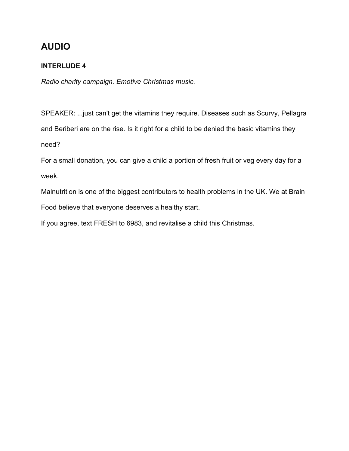### **INTERLUDE 4**

*Radio charity campaign. Emotive Christmas music.*

SPEAKER: ...just can't get the vitamins they require. Diseases such as Scurvy, Pellagra and Beriberi are on the rise. Is it right for a child to be denied the basic vitamins they need?

For a small donation, you can give a child a portion of fresh fruit or veg every day for a week.

Malnutrition is one of the biggest contributors to health problems in the UK. We at Brain Food believe that everyone deserves a healthy start.

If you agree, text FRESH to 6983, and revitalise a child this Christmas.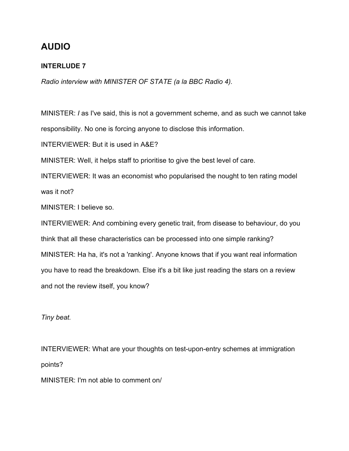### **INTERLUDE 7**

*Radio interview with MINISTER OF STATE (a la BBC Radio 4).*

MINISTER: *I* as I've said, this is not a government scheme, and as such we cannot take responsibility. No one is forcing anyone to disclose this information.

INTERVIEWER: But it is used in A&E?

MINISTER: Well, it helps staff to prioritise to give the best level of care.

INTERVIEWER: It was an economist who popularised the nought to ten rating model was it not?

MINISTER: I believe so.

INTERVIEWER: And combining every genetic trait, from disease to behaviour, do you think that all these characteristics can be processed into one simple ranking? MINISTER: Ha ha, it's not a 'ranking'. Anyone knows that if you want real information you have to read the breakdown. Else it's a bit like just reading the stars on a review and not the review itself, you know?

*Tiny beat.*

INTERVIEWER: What are your thoughts on test-upon-entry schemes at immigration points?

MINISTER: I'm not able to comment on/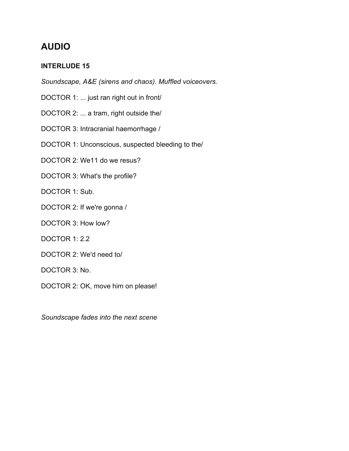### **INTERLUDE 15**

*Soundscape, A&E (sirens and chaos). Muffled voiceovers.*

- DOCTOR 1: ... just ran right out in front/
- DOCTOR 2: ... a tram, right outside the/
- DOCTOR 3: Intracranial haemorrhage /
- DOCTOR 1: Unconscious, suspected bleeding to the/
- DOCTOR 2: We11 do we resus?
- DOCTOR 3: What's the profile?
- DOCTOR 1: Sub.
- DOCTOR 2: If we're gonna /
- DOCTOR 3: How low?
- DOCTOR 1: 2.2
- DOCTOR 2: We'd need to/
- DOCTOR 3: No.
- DOCTOR 2: OK, move him on please!

*Soundscape fades into the next scene*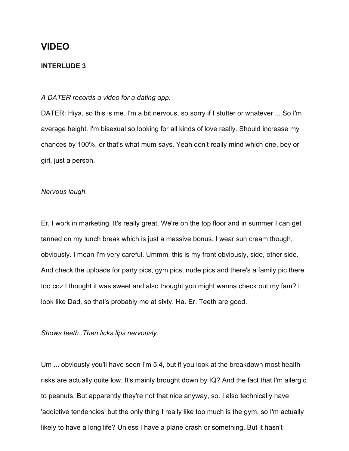#### **INTERLUDE 3**

#### *A DATER records a video for a dating app.*

DATER: Hiya, so this is me. I'm a bit nervous, so sorry if I stutter or whatever ... So I'm average height. I'm bisexual so looking for all kinds of love really. Should increase my chances by 100%, or that's what mum says. Yeah don't really mind which one, boy or girl, just a person.

#### *Nervous laugh.*

Er, I work in marketing. It's really great. We're on the top floor and in summer I can get tanned on my lunch break which is just a massive bonus. I wear sun cream though, obviously. I mean I'm very careful. Ummm, this is my front obviously, side, other side. And check the uploads for party pics, gym pics, nude pics and there's a family pic there too coz I thought it was sweet and also thought you might wanna check out my fam? I look like Dad, so that's probably me at sixty. Ha. Er. Teeth are good.

#### *Shows teeth. Then licks lips nervously.*

Um ... obviously you'll have seen I'm 5.4, but if you look at the breakdown most health risks are actually quite low. It's mainly brought down by IQ? And the fact that I'm allergic to peanuts. But apparently they're not that nice anyway, so. I also technically have 'addictive tendencies' but the only thing I really like too much is the gym, so I'm actually likely to have a long life? Unless I have a plane crash or something. But it hasn't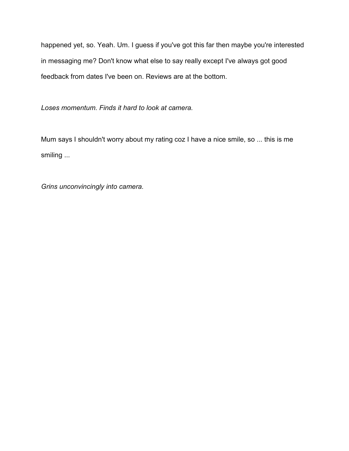happened yet, so. Yeah. Um. I guess if you've got this far then maybe you're interested in messaging me? Don't know what else to say really except I've always got good feedback from dates I've been on. Reviews are at the bottom.

*Loses momentum. Finds it hard to look at camera.*

Mum says I shouldn't worry about my rating coz I have a nice smile, so ... this is me smiling ...

*Grins unconvincingly into camera.*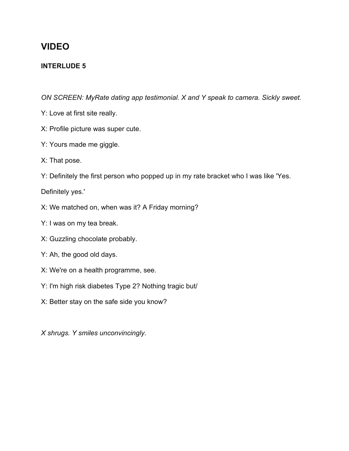### **INTERLUDE 5**

*ON SCREEN: MyRate dating app testimonial. X and Y speak to camera. Sickly sweet.*

- Y: Love at first site really.
- X: Profile picture was super cute.
- Y: Yours made me giggle.
- X: That pose.
- Y: Definitely the first person who popped up in my rate bracket who I was like 'Yes.

Definitely yes.'

- X: We matched on, when was it? A Friday morning?
- Y: I was on my tea break.
- X: Guzzling chocolate probably.
- Y: Ah, the good old days.
- X: We're on a health programme, see.
- Y: I'm high risk diabetes Type 2? Nothing tragic but/
- X: Better stay on the safe side you know?

*X shrugs. Y smiles unconvincingly.*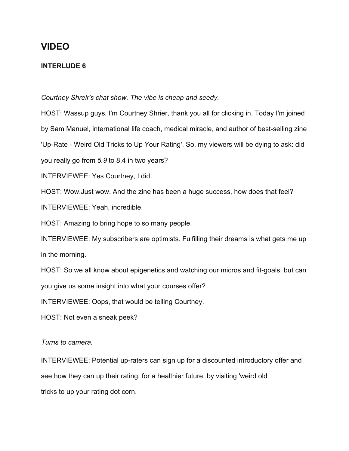### **INTERLUDE 6**

*Courtney Shreir's chat show. The vibe is cheap and seedy.*

HOST: Wassup guys, I'm Courtney Shrier, thank you all for clicking in. Today I'm joined by Sam Manuel, international life coach, medical miracle, and author of best-selling zine 'Up-Rate - Weird Old Tricks to Up Your Rating'. So, my viewers will be dying to ask: did you really go from *5.9* to 8.4 in two years? INTERVIEWEE: Yes Courtney, I did. HOST: Wow.Just wow. And the zine has been a huge success, how does that feel? INTERVIEWEE: Yeah, incredible. HOST: Amazing to bring hope to so many people. INTERVIEWEE: My subscribers are optimists. Fulfilling their dreams is what gets me up in the morning. HOST: So we all know about epigenetics and watching our micros and fit-goals, but can you give us some insight into what your courses offer? INTERVIEWEE: Oops, that would be telling Courtney.

HOST: Not even a sneak peek?

*Turns to camera.*

INTERVIEWEE: Potential up-raters can sign up for a discounted introductory offer and see how they can up their rating, for a healthier future, by visiting 'weird old tricks to up your rating dot corn.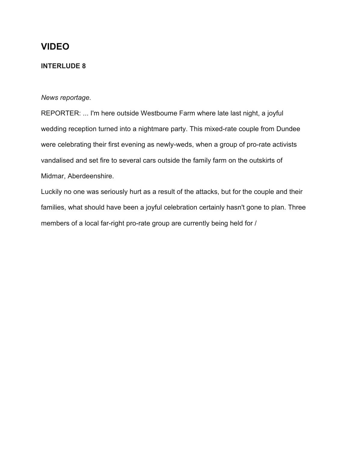#### **INTERLUDE 8**

#### *News reportage.*

REPORTER: ... I'm here outside Westboume Farm where late last night, a joyful wedding reception turned into a nightmare party. This mixed-rate couple from Dundee were celebrating their first evening as newly-weds, when a group of pro-rate activists vandalised and set fire to several cars outside the family farm on the outskirts of Midmar, Aberdeenshire.

Luckily no one was seriously hurt as a result of the attacks, but for the couple and their families, what should have been a joyful celebration certainly hasn't gone to plan. Three members of a local far-right pro-rate group are currently being held for /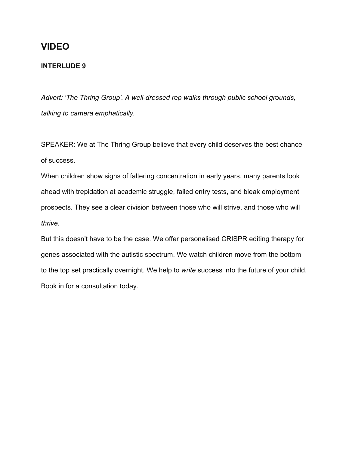#### **INTERLUDE 9**

*Advert: 'The Thring Group'. A well-dressed rep walks through public school grounds, talking to camera emphatically.*

SPEAKER: We at The Thring Group believe that every child deserves the best chance of success.

When children show signs of faltering concentration in early years, many parents look ahead with trepidation at academic struggle, failed entry tests, and bleak employment prospects. They see a clear division between those who will strive, and those who will *thrive.*

But this doesn't have to be the case. We offer personalised CRISPR editing therapy for genes associated with the autistic spectrum. We watch children move from the bottom to the top set practically overnight. We help to *write* success into the future of your child. Book in for a consultation today.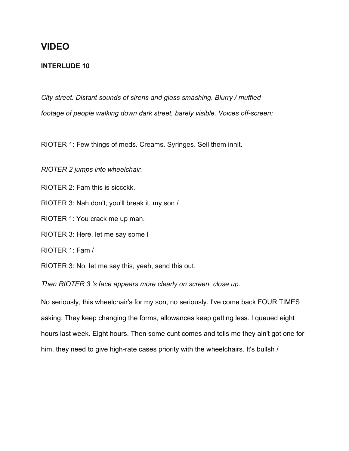#### **INTERLUDE 10**

*City street. Distant sounds of sirens and glass smashing. Blurry / muffled footage of people walking down dark street, barely visible. Voices off-screen:*

RIOTER 1: Few things of meds. Creams. Syringes. Sell them innit.

*RIOTER 2 jumps into wheelchair.*

RIOTER 2: Fam this is siccckk.

RIOTER 3: Nah don't, you'll break it, my son /

RIOTER 1: You crack me up man.

RIOTER 3: Here, let me say some I

RIOTER 1: Fam /

RIOTER 3: No, let me say this, yeah, send this out.

*Then RIOTER 3 's face appears more clearly on screen, close up.*

No seriously, this wheelchair's for my son, no seriously. I've come back FOUR TIMES asking. They keep changing the forms, allowances keep getting less. I queued eight hours last week. Eight hours. Then some cunt comes and tells me they ain't got one for him, they need to give high-rate cases priority with the wheelchairs. It's bullsh /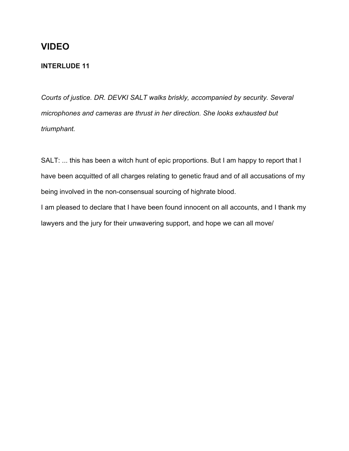### **INTERLUDE 11**

*Courts of justice. DR. DEVKI SALT walks briskly, accompanied by security. Several microphones and cameras are thrust in her direction. She looks exhausted but triumphant.*

SALT: ... this has been a witch hunt of epic proportions. But I am happy to report that I have been acquitted of all charges relating to genetic fraud and of all accusations of my being involved in the non-consensual sourcing of highrate blood.

I am pleased to declare that I have been found innocent on all accounts, and I thank my lawyers and the jury for their unwavering support, and hope we can all move/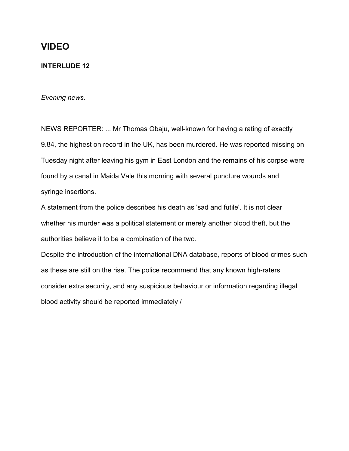#### **INTERLUDE 12**

*Evening news.*

NEWS REPORTER: ... Mr Thomas Obaju, well-known for having a rating of exactly 9.84, the highest on record in the UK, has been murdered. He was reported missing on Tuesday night after leaving his gym in East London and the remains of his corpse were found by a canal in Maida Vale this morning with several puncture wounds and syringe insertions.

A statement from the police describes his death as 'sad and futile'. It is not clear whether his murder was a political statement or merely another blood theft, but the authorities believe it to be a combination of the two.

Despite the introduction of the international DNA database, reports of blood crimes such as these are still on the rise. The police recommend that any known high-raters consider extra security, and any suspicious behaviour or information regarding illegal blood activity should be reported immediately /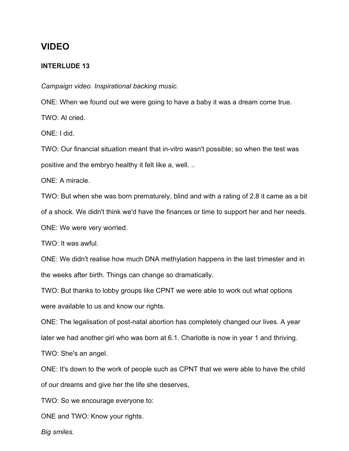#### **INTERLUDE 13**

*Campaign video. Inspirational backing music.*

ONE: When we found out we were going to have a baby it was a dream come true. TWO: Al cried.

ONE: I did.

TWO: Our financial situation meant that in-vitro wasn't possible; so when the test was positive and the embryo healthy it felt like a, well. ..

ONE: A miracle.

TWO: But when she was born prematurely, blind and with a rating of 2.8 it came as a bit of a shock. We didn't think we'd have the finances or time to support her and her needs. ONE: We were very worried.

TWO: It was awful.

ONE: We didn't realise how much DNA methylation happens in the last trimester and in the weeks after birth. Things can change so dramatically.

TWO: But thanks to lobby groups like CPNT we were able to work out what options were available to us and know our rights.

ONE: The legalisation of post-natal abortion has completely changed our lives. A year later we had another girl who was born at 6.1. Charlotte is now in year 1 and thriving. TWO: She's an angel.

ONE: It's down to the work of people such as CPNT that we were able to have the child of our dreams and give her the life she deserves,

TWO: So we encourage everyone to:

ONE and TWO: Know your rights.

*Big smiles.*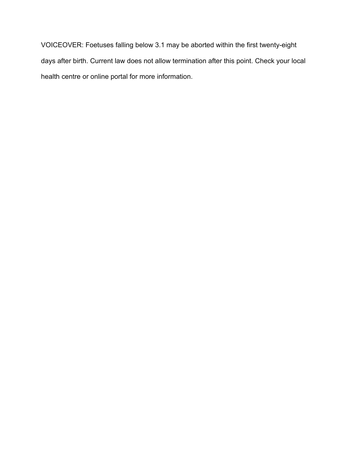VOICEOVER: Foetuses falling below 3.1 may be aborted within the first twenty-eight days after birth. Current law does not allow termination after this point. Check your local health centre or online portal for more information.